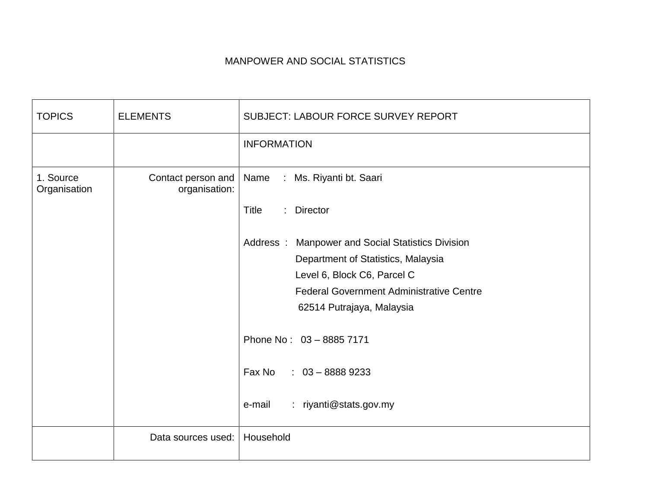## MANPOWER AND SOCIAL STATISTICS

| <b>TOPICS</b>             | <b>ELEMENTS</b>    | <b>SUBJECT: LABOUR FORCE SURVEY REPORT</b>        |
|---------------------------|--------------------|---------------------------------------------------|
|                           |                    | <b>INFORMATION</b>                                |
| 1. Source<br>Organisation | organisation:      | Contact person and   Name : Ms. Riyanti bt. Saari |
|                           |                    | Title<br>: Director                               |
|                           |                    | Address: Manpower and Social Statistics Division  |
|                           |                    | Department of Statistics, Malaysia                |
|                           |                    | Level 6, Block C6, Parcel C                       |
|                           |                    | <b>Federal Government Administrative Centre</b>   |
|                           |                    | 62514 Putrajaya, Malaysia                         |
|                           |                    | Phone No: 03 - 8885 7171                          |
|                           |                    | Fax No<br>$: 03 - 88889233$                       |
|                           |                    | : riyanti@stats.gov.my<br>e-mail                  |
|                           | Data sources used: | Household                                         |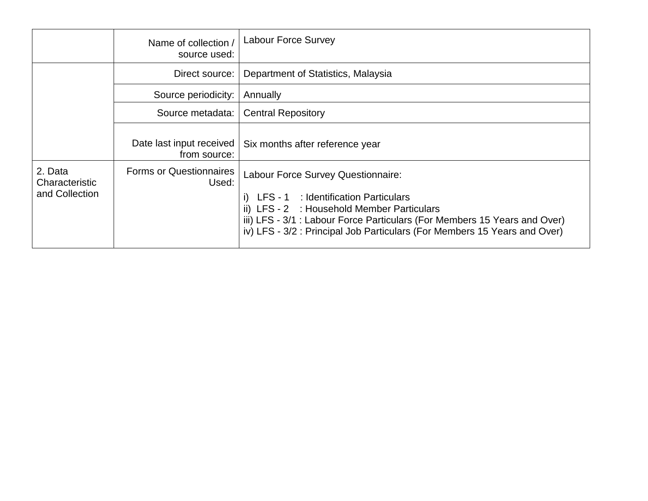|                                             | Name of collection<br>source used:       | <b>Labour Force Survey</b>                                                                                                                                                                                                                                                         |
|---------------------------------------------|------------------------------------------|------------------------------------------------------------------------------------------------------------------------------------------------------------------------------------------------------------------------------------------------------------------------------------|
|                                             | Direct source:                           | Department of Statistics, Malaysia                                                                                                                                                                                                                                                 |
|                                             | Source periodicity:                      | Annually                                                                                                                                                                                                                                                                           |
|                                             | Source metadata:                         | <b>Central Repository</b>                                                                                                                                                                                                                                                          |
|                                             | Date last input received<br>from source: | Six months after reference year                                                                                                                                                                                                                                                    |
| 2. Data<br>Characteristic<br>and Collection | <b>Forms or Questionnaires</b><br>Used:  | Labour Force Survey Questionnaire:<br>LFS - 1 : Identification Particulars<br>ii) LFS - 2 : Household Member Particulars<br>iii) LFS - 3/1 : Labour Force Particulars (For Members 15 Years and Over)<br>iv) LFS - 3/2 : Principal Job Particulars (For Members 15 Years and Over) |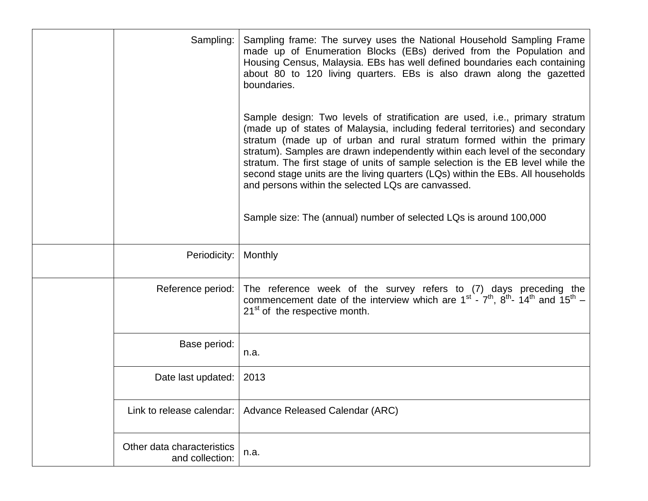| Sampling:                                     | Sampling frame: The survey uses the National Household Sampling Frame<br>made up of Enumeration Blocks (EBs) derived from the Population and<br>Housing Census, Malaysia. EBs has well defined boundaries each containing<br>about 80 to 120 living quarters. EBs is also drawn along the gazetted<br>boundaries.                                                                                                                                                                                                                                |
|-----------------------------------------------|--------------------------------------------------------------------------------------------------------------------------------------------------------------------------------------------------------------------------------------------------------------------------------------------------------------------------------------------------------------------------------------------------------------------------------------------------------------------------------------------------------------------------------------------------|
|                                               | Sample design: Two levels of stratification are used, i.e., primary stratum<br>(made up of states of Malaysia, including federal territories) and secondary<br>stratum (made up of urban and rural stratum formed within the primary<br>stratum). Samples are drawn independently within each level of the secondary<br>stratum. The first stage of units of sample selection is the EB level while the<br>second stage units are the living quarters (LQs) within the EBs. All households<br>and persons within the selected LQs are canvassed. |
|                                               | Sample size: The (annual) number of selected LQs is around 100,000                                                                                                                                                                                                                                                                                                                                                                                                                                                                               |
| Periodicity:                                  | Monthly                                                                                                                                                                                                                                                                                                                                                                                                                                                                                                                                          |
| Reference period:                             | The reference week of the survey refers to (7) days preceding the<br>commencement date of the interview which are $1^{st}$ - $7^{th}$ , $8^{th}$ - $14^{th}$ and $15^{th}$ -<br>21 <sup>st</sup> of the respective month.                                                                                                                                                                                                                                                                                                                        |
| Base period:                                  | n.a.                                                                                                                                                                                                                                                                                                                                                                                                                                                                                                                                             |
| Date last updated:                            | 2013                                                                                                                                                                                                                                                                                                                                                                                                                                                                                                                                             |
| Link to release calendar:                     | Advance Released Calendar (ARC)                                                                                                                                                                                                                                                                                                                                                                                                                                                                                                                  |
| Other data characteristics<br>and collection: | n.a.                                                                                                                                                                                                                                                                                                                                                                                                                                                                                                                                             |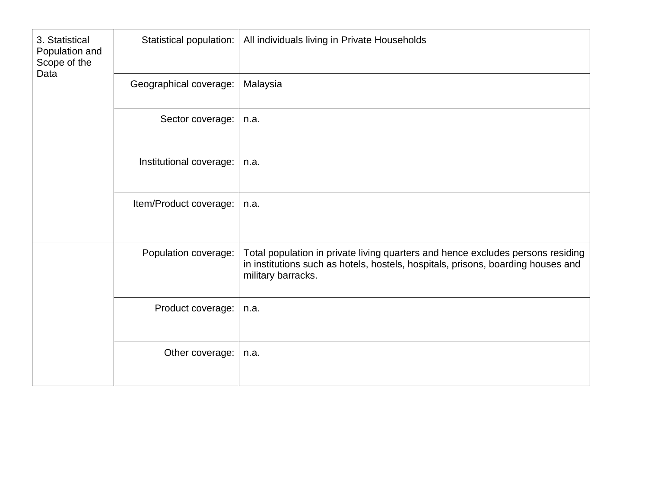| 3. Statistical<br>Population and<br>Scope of the<br>Data | Statistical population: | All individuals living in Private Households                                                                                                                                              |
|----------------------------------------------------------|-------------------------|-------------------------------------------------------------------------------------------------------------------------------------------------------------------------------------------|
|                                                          | Geographical coverage:  | Malaysia                                                                                                                                                                                  |
|                                                          | Sector coverage:        | n.a.                                                                                                                                                                                      |
|                                                          | Institutional coverage: | n.a.                                                                                                                                                                                      |
|                                                          | Item/Product coverage:  | n.a.                                                                                                                                                                                      |
|                                                          | Population coverage:    | Total population in private living quarters and hence excludes persons residing<br>in institutions such as hotels, hostels, hospitals, prisons, boarding houses and<br>military barracks. |
|                                                          | Product coverage:       | n.a.                                                                                                                                                                                      |
|                                                          | Other coverage:         | n.a.                                                                                                                                                                                      |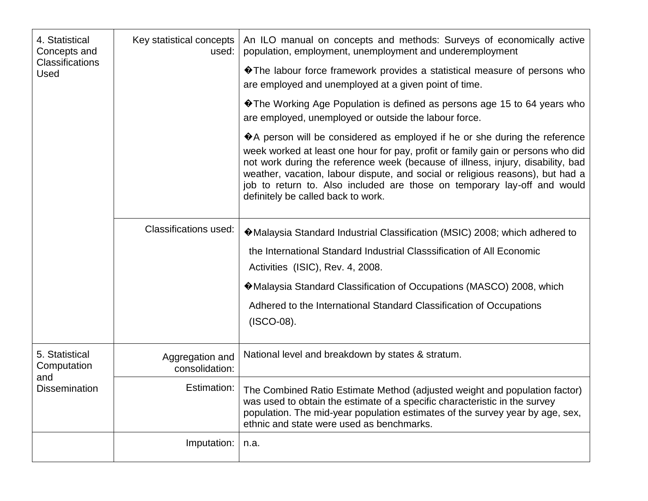| 4. Statistical<br>Concepts and<br>Classifications<br>Used | Key statistical concepts<br>used: | An ILO manual on concepts and methods: Surveys of economically active<br>population, employment, unemployment and underemployment                                                                                                                                                                                                                                                                                                                              |
|-----------------------------------------------------------|-----------------------------------|----------------------------------------------------------------------------------------------------------------------------------------------------------------------------------------------------------------------------------------------------------------------------------------------------------------------------------------------------------------------------------------------------------------------------------------------------------------|
|                                                           |                                   | ♦ The labour force framework provides a statistical measure of persons who<br>are employed and unemployed at a given point of time.                                                                                                                                                                                                                                                                                                                            |
|                                                           |                                   | ♦ The Working Age Population is defined as persons age 15 to 64 years who<br>are employed, unemployed or outside the labour force.                                                                                                                                                                                                                                                                                                                             |
|                                                           |                                   | $\bigcirc$ A person will be considered as employed if he or she during the reference<br>week worked at least one hour for pay, profit or family gain or persons who did<br>not work during the reference week (because of illness, injury, disability, bad<br>weather, vacation, labour dispute, and social or religious reasons), but had a<br>job to return to. Also included are those on temporary lay-off and would<br>definitely be called back to work. |
|                                                           | <b>Classifications used:</b>      | ♦ Malaysia Standard Industrial Classification (MSIC) 2008; which adhered to                                                                                                                                                                                                                                                                                                                                                                                    |
|                                                           |                                   | the International Standard Industrial Classsification of All Economic<br>Activities (ISIC), Rev. 4, 2008.                                                                                                                                                                                                                                                                                                                                                      |
|                                                           |                                   | ♦ Malaysia Standard Classification of Occupations (MASCO) 2008, which                                                                                                                                                                                                                                                                                                                                                                                          |
|                                                           |                                   | Adhered to the International Standard Classification of Occupations<br>$(ISCO-08).$                                                                                                                                                                                                                                                                                                                                                                            |
| 5. Statistical<br>Computation                             | Aggregation and<br>consolidation: | National level and breakdown by states & stratum.                                                                                                                                                                                                                                                                                                                                                                                                              |
| and<br><b>Dissemination</b>                               | Estimation:                       | The Combined Ratio Estimate Method (adjusted weight and population factor)<br>was used to obtain the estimate of a specific characteristic in the survey<br>population. The mid-year population estimates of the survey year by age, sex,<br>ethnic and state were used as benchmarks.                                                                                                                                                                         |
|                                                           | Imputation:                       | n.a.                                                                                                                                                                                                                                                                                                                                                                                                                                                           |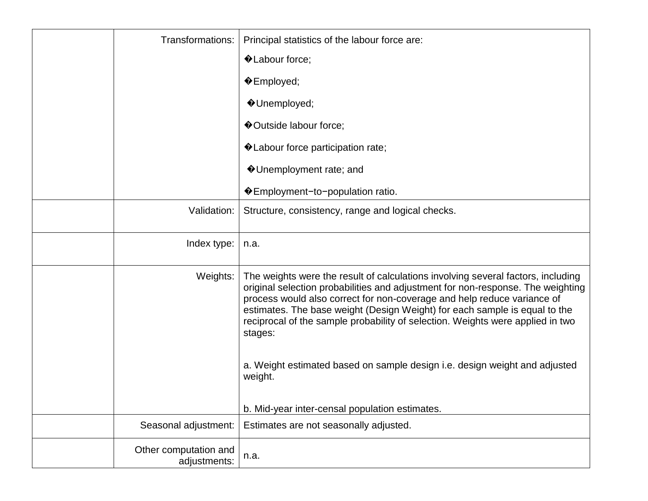| Transformations:                      | Principal statistics of the labour force are:                                                                                                                                                                                                                                                                                                                                                                             |
|---------------------------------------|---------------------------------------------------------------------------------------------------------------------------------------------------------------------------------------------------------------------------------------------------------------------------------------------------------------------------------------------------------------------------------------------------------------------------|
|                                       | ♦ Labour force;                                                                                                                                                                                                                                                                                                                                                                                                           |
|                                       | $\triangle$ Employed;                                                                                                                                                                                                                                                                                                                                                                                                     |
|                                       | ♦ Unemployed;                                                                                                                                                                                                                                                                                                                                                                                                             |
|                                       | ♦ Outside labour force;                                                                                                                                                                                                                                                                                                                                                                                                   |
|                                       | ♦ Labour force participation rate;                                                                                                                                                                                                                                                                                                                                                                                        |
|                                       | ♦ Unemployment rate; and                                                                                                                                                                                                                                                                                                                                                                                                  |
|                                       | ♦ Employment-to-population ratio.                                                                                                                                                                                                                                                                                                                                                                                         |
| Validation:                           | Structure, consistency, range and logical checks.                                                                                                                                                                                                                                                                                                                                                                         |
| Index type:                           | n.a.                                                                                                                                                                                                                                                                                                                                                                                                                      |
| Weights:                              | The weights were the result of calculations involving several factors, including<br>original selection probabilities and adjustment for non-response. The weighting<br>process would also correct for non-coverage and help reduce variance of<br>estimates. The base weight (Design Weight) for each sample is equal to the<br>reciprocal of the sample probability of selection. Weights were applied in two<br>stages: |
|                                       | a. Weight estimated based on sample design i.e. design weight and adjusted<br>weight.                                                                                                                                                                                                                                                                                                                                     |
|                                       | b. Mid-year inter-censal population estimates.                                                                                                                                                                                                                                                                                                                                                                            |
| Seasonal adjustment:                  | Estimates are not seasonally adjusted.                                                                                                                                                                                                                                                                                                                                                                                    |
| Other computation and<br>adjustments: | n.a.                                                                                                                                                                                                                                                                                                                                                                                                                      |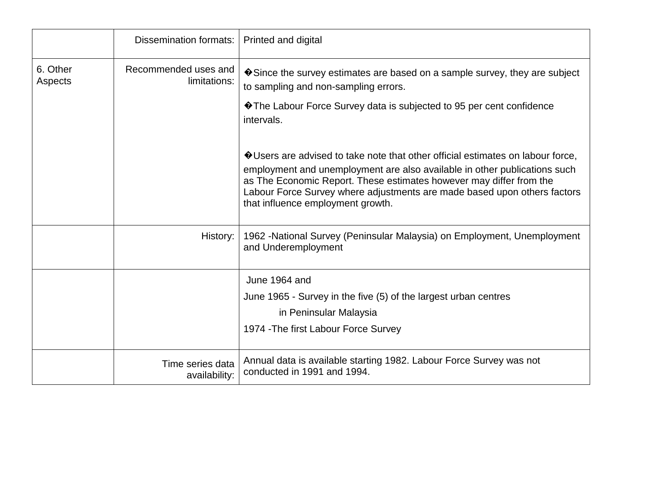|                     | Dissemination formats:               | Printed and digital                                                                                                                                                                                                                                                                                                                                  |
|---------------------|--------------------------------------|------------------------------------------------------------------------------------------------------------------------------------------------------------------------------------------------------------------------------------------------------------------------------------------------------------------------------------------------------|
| 6. Other<br>Aspects | Recommended uses and<br>limitations: | $\bullet$ Since the survey estimates are based on a sample survey, they are subject<br>to sampling and non-sampling errors.                                                                                                                                                                                                                          |
|                     |                                      | ♦ The Labour Force Survey data is subjected to 95 per cent confidence<br>intervals.                                                                                                                                                                                                                                                                  |
|                     |                                      | ♦ Users are advised to take note that other official estimates on labour force,<br>employment and unemployment are also available in other publications such<br>as The Economic Report. These estimates however may differ from the<br>Labour Force Survey where adjustments are made based upon others factors<br>that influence employment growth. |
|                     | History:                             | 1962 - National Survey (Peninsular Malaysia) on Employment, Unemployment<br>and Underemployment                                                                                                                                                                                                                                                      |
|                     |                                      | June 1964 and                                                                                                                                                                                                                                                                                                                                        |
|                     |                                      | June 1965 - Survey in the five (5) of the largest urban centres<br>in Peninsular Malaysia                                                                                                                                                                                                                                                            |
|                     |                                      | 1974 - The first Labour Force Survey                                                                                                                                                                                                                                                                                                                 |
|                     | Time series data<br>availability:    | Annual data is available starting 1982. Labour Force Survey was not<br>conducted in 1991 and 1994.                                                                                                                                                                                                                                                   |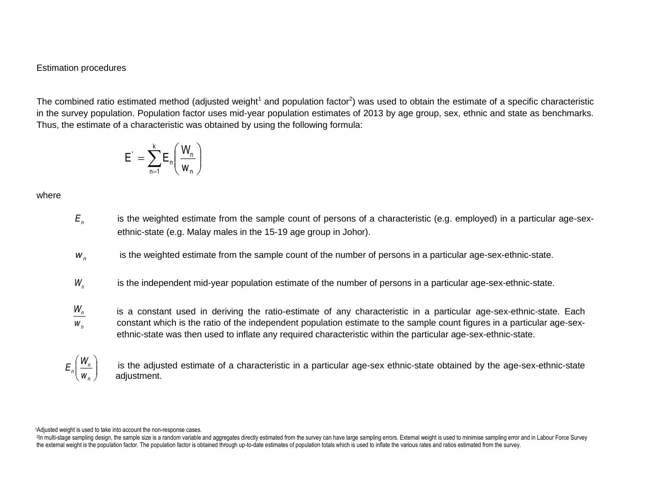## Estimation procedures

The combined ratio estimated method (adjusted weight<sup>1</sup> and population factor<sup>2</sup>) was used to obtain the estimate of a specific characteristic in the survey population. Population factor uses mid-year population estimates of 2013 by age group, sex, ethnic and state as benchmarks. Thus, the estimate of a characteristic was obtained by using the following formula:

$$
E^{'} = \sum_{n=1}^{k} E_n \left( \frac{W_n}{w_n} \right)
$$

where

- *Εn* is the weighted estimate from the sample count of persons of a characteristic (e.g. employed) in a particular age-sexethnic-state (e.g. Malay males in the 15-19 age group in Johor).
- *<sup>w</sup><sup>n</sup>* is the weighted estimate from the sample count of the number of persons in a particular age-sex-ethnic-state.
- $W_{n}$ is the independent mid-year population estimate of the number of persons in a particular age-sex-ethnic-state.

 $W_n$  is a constant used in deriving the ratio-estimate of any characteristic in a particular age-sex-ethnic-state. Each constant which is the ratio of the independent population estimate to the sample count figures in a particular age-sex-*w* ethnic-state was then used to inflate any required characteristic within the particular age-sex-ethnic-state. *n*

is the adjusted estimate of a characteristic in a particular age-sex ethnic-state obtained by the age-sex-ethnic-state<br>
adjustment  $(w_n)$  adjustment.  $\Bigg)$  is the editorical of  $\left| \frac{m}{W} \right|$  is the adjust  $\left(W_{n}\right)$  is the adjusted estimate of a charac *E*<sub>n</sub> | is th

<sup>1</sup>Adjusted weight is used to take into account the non-response cases.

2In multi-stage sampling design, the sample size is a random variable and aggregates directly estimated from the survey can have large sampling errors. External weight is used to minimise sampling error and in Labour Force the external weight is the population factor. The population factor is obtained through up-to-date estimates of population totals which is used to inflate the various rates and ratios estimated from the survey.